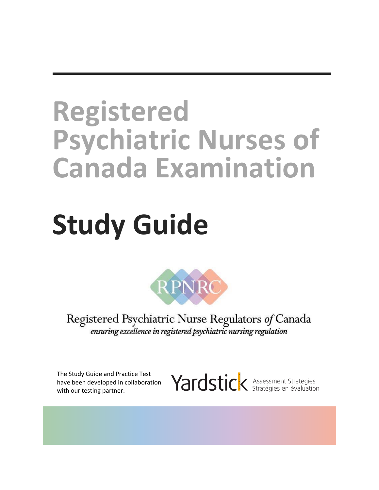# **Registered Psychiatric Nurses of Canada Examination**

# **Study Guide**



Registered Psychiatric Nurse Regulators of Canada ensuring excellence in registered psychiatric nursing regulation

The Study Guide and Practice Test have been developed in collaboration with our testing partner:

Yardstick Assessment Strategies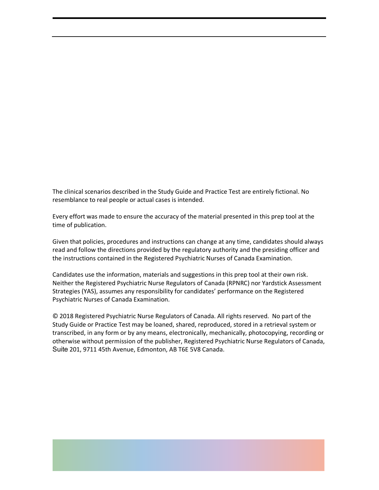The clinical scenarios described in the Study Guide and Practice Test are entirely fictional. No resemblance to real people or actual cases is intended.

Every effort was made to ensure the accuracy of the material presented in this prep tool at the time of publication.

Given that policies, procedures and instructions can change at any time, candidates should always read and follow the directions provided by the regulatory authority and the presiding officer and the instructions contained in the Registered Psychiatric Nurses of Canada Examination.

Candidates use the information, materials and suggestions in this prep tool at their own risk. Neither the Registered Psychiatric Nurse Regulators of Canada (RPNRC) nor Yardstick Assessment Strategies (YAS), assumes any responsibility for candidates' performance on the Registered Psychiatric Nurses of Canada Examination.

© 2018 Registered Psychiatric Nurse Regulators of Canada. All rights reserved. No part of the Study Guide or Practice Test may be loaned, shared, reproduced, stored in a retrieval system or transcribed, in any form or by any means, electronically, mechanically, photocopying, recording or otherwise without permission of the publisher, Registered Psychiatric Nurse Regulators of Canada, Suite 201, 9711 45th Avenue, Edmonton, AB T6E 5V8 Canada.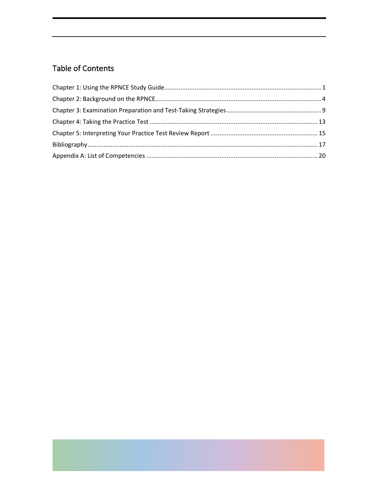# **Table of Contents**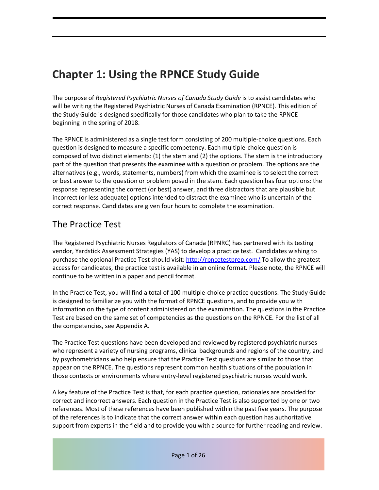# **Chapter 1: Using the RPNCE Study Guide**

The purpose of *Registered Psychiatric Nurses of Canada Study Guide* is to assist candidates who will be writing the Registered Psychiatric Nurses of Canada Examination (RPNCE). This edition of the Study Guide is designed specifically for those candidates who plan to take the RPNCE beginning in the spring of 2018.

The RPNCE is administered as a single test form consisting of 200 multiple-choice questions. Each question is designed to measure a specific competency. Each multiple-choice question is composed of two distinct elements: (1) the stem and (2) the options. The stem is the introductory part of the question that presents the examinee with a question or problem. The options are the alternatives (e.g., words, statements, numbers) from which the examinee is to select the correct or best answer to the question or problem posed in the stem. Each question has four options: the response representing the correct (or best) answer, and three distractors that are plausible but incorrect (or less adequate) options intended to distract the examinee who is uncertain of the correct response. Candidates are given four hours to complete the examination.

# The Practice Test

The Registered Psychiatric Nurses Regulators of Canada (RPNRC) has partnered with its testing vendor, Yardstick Assessment Strategies (YAS) to develop a practice test. Candidates wishing to purchase the optional Practice Test should visit: http://rpncetestprep.com/ To allow the greatest access for candidates, the practice test is available in an online format. Please note, the RPNCE will continue to be written in a paper and pencil format.

In the Practice Test, you will find a total of 100 multiple-choice practice questions. The Study Guide is designed to familiarize you with the format of RPNCE questions, and to provide you with information on the type of content administered on the examination. The questions in the Practice Test are based on the same set of competencies as the questions on the RPNCE. For the list of all the competencies, see Appendix A.

The Practice Test questions have been developed and reviewed by registered psychiatric nurses who represent a variety of nursing programs, clinical backgrounds and regions of the country, and by psychometricians who help ensure that the Practice Test questions are similar to those that appear on the RPNCE. The questions represent common health situations of the population in those contexts or environments where entry-level registered psychiatric nurses would work.

A key feature of the Practice Test is that, for each practice question, rationales are provided for correct and incorrect answers. Each question in the Practice Test is also supported by one or two references. Most of these references have been published within the past five years. The purpose of the references is to indicate that the correct answer within each question has authoritative support from experts in the field and to provide you with a source for further reading and review.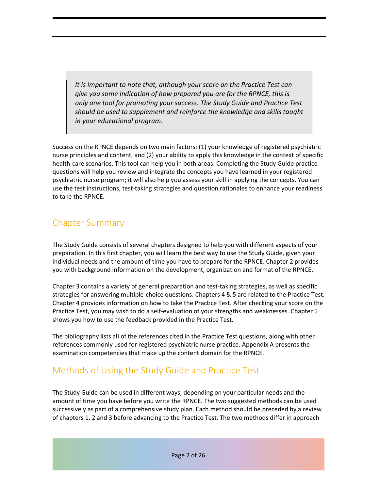*It is important to note that, although your score on the Practice Test can give you some indication of how prepared you are for the RPNCE, this is only one tool for promoting your success. The Study Guide and Practice Test should be used to supplement and reinforce the knowledge and skills taught in your educational program.* 

Success on the RPNCE depends on two main factors: (1) your knowledge of registered psychiatric nurse principles and content, and (2) your ability to apply this knowledge in the context of specific health-care scenarios. This tool can help you in both areas. Completing the Study Guide practice questions will help you review and integrate the concepts you have learned in your registered psychiatric nurse program; it will also help you assess your skill in applying the concepts. You can use the test instructions, test-taking strategies and question rationales to enhance your readiness to take the RPNCE.

# Chapter Summary

The Study Guide consists of several chapters designed to help you with different aspects of your preparation. In this first chapter, you will learn the best way to use the Study Guide, given your individual needs and the amount of time you have to prepare for the RPNCE. Chapter 2 provides you with background information on the development, organization and format of the RPNCE.

Chapter 3 contains a variety of general preparation and test-taking strategies, as well as specific strategies for answering multiple-choice questions. Chapters 4 & 5 are related to the Practice Test. Chapter 4 provides information on how to take the Practice Test. After checking your score on the Practice Test, you may wish to do a self-evaluation of your strengths and weaknesses. Chapter 5 shows you how to use the feedback provided in the Practice Test.

The bibliography lists all of the references cited in the Practice Test questions, along with other references commonly used for registered psychiatric nurse practice. Appendix A presents the examination competencies that make up the content domain for the RPNCE.

# Methods of Using the Study Guide and Practice Test

The Study Guide can be used in different ways, depending on your particular needs and the amount of time you have before you write the RPNCE. The two suggested methods can be used successively as part of a comprehensive study plan. Each method should be preceded by a review of chapters 1, 2 and 3 before advancing to the Practice Test. The two methods differ in approach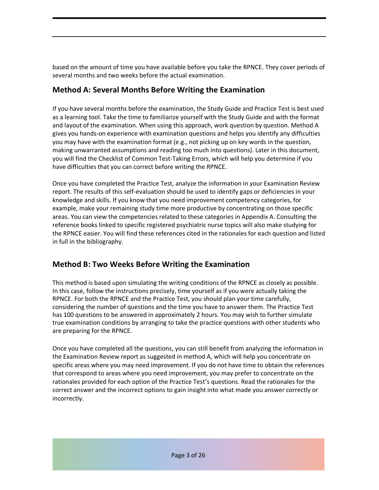based on the amount of time you have available before you take the RPNCE. They cover periods of several months and two weeks before the actual examination.

## **Method A: Several Months Before Writing the Examination**

If you have several months before the examination, the Study Guide and Practice Test is best used as a learning tool. Take the time to familiarize yourself with the Study Guide and with the format and layout of the examination. When using this approach, work question by question. Method A gives you hands-on experience with examination questions and helps you identify any difficulties you may have with the examination format (e.g., not picking up on key words in the question, making unwarranted assumptions and reading too much into questions). Later in this document, you will find the Checklist of Common Test-Taking Errors, which will help you determine if you have difficulties that you can correct before writing the RPNCE.

Once you have completed the Practice Test, analyze the information in your Examination Review report. The results of this self-evaluation should be used to identify gaps or deficiencies in your knowledge and skills. If you know that you need improvement competency categories, for example, make your remaining study time more productive by concentrating on those specific areas. You can view the competencies related to these categories in Appendix A. Consulting the reference books linked to specific registered psychiatric nurse topics will also make studying for the RPNCE easier. You will find these references cited in the rationales for each question and listed in full in the bibliography.

# **Method B: Two Weeks Before Writing the Examination**

This method is based upon simulating the writing conditions of the RPNCE as closely as possible. In this case, follow the instructions precisely, time yourself as if you were actually taking the RPNCE. For both the RPNCE and the Practice Test, you should plan your time carefully, considering the number of questions and the time you have to answer them. The Practice Test has 100 questions to be answered in approximately 2 hours. You may wish to further simulate true examination conditions by arranging to take the practice questions with other students who are preparing for the RPNCE.

Once you have completed all the questions, you can still benefit from analyzing the information in the Examination Review report as suggested in method A, which will help you concentrate on specific areas where you may need improvement. If you do not have time to obtain the references that correspond to areas where you need improvement, you may prefer to concentrate on the rationales provided for each option of the Practice Test's questions. Read the rationales for the correct answer and the incorrect options to gain insight into what made you answer correctly or incorrectly.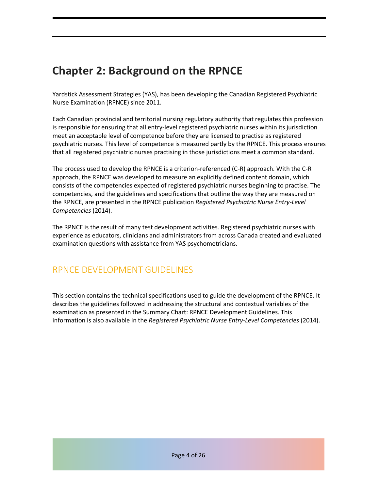# **Chapter 2: Background on the RPNCE**

Yardstick Assessment Strategies (YAS), has been developing the Canadian Registered Psychiatric Nurse Examination (RPNCE) since 2011.

Each Canadian provincial and territorial nursing regulatory authority that regulates this profession is responsible for ensuring that all entry-level registered psychiatric nurses within its jurisdiction meet an acceptable level of competence before they are licensed to practise as registered psychiatric nurses. This level of competence is measured partly by the RPNCE. This process ensures that all registered psychiatric nurses practising in those jurisdictions meet a common standard.

The process used to develop the RPNCE is a criterion-referenced (C-R) approach. With the C-R approach, the RPNCE was developed to measure an explicitly defined content domain, which consists of the competencies expected of registered psychiatric nurses beginning to practise. The competencies, and the guidelines and specifications that outline the way they are measured on the RPNCE, are presented in the RPNCE publication *Registered Psychiatric Nurse Entry-Level Competencies* (2014).

The RPNCE is the result of many test development activities. Registered psychiatric nurses with experience as educators, clinicians and administrators from across Canada created and evaluated examination questions with assistance from YAS psychometricians.

# RPNCE DEVELOPMENT GUIDELINES

This section contains the technical specifications used to guide the development of the RPNCE. It describes the guidelines followed in addressing the structural and contextual variables of the examination as presented in the Summary Chart: RPNCE Development Guidelines. This information is also available in the *Registered Psychiatric Nurse Entry-Level Competencies* (2014).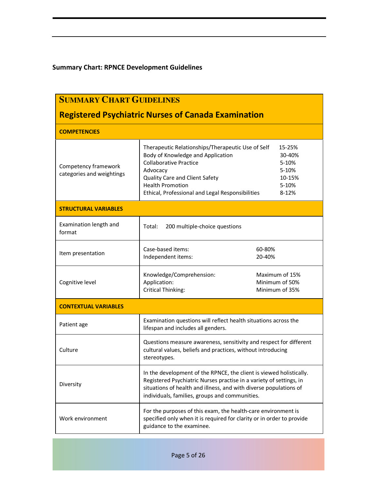## **Summary Chart: RPNCE Development Guidelines**

| <b>SUMMARY CHART GUIDELINES</b>                            |                                                                                                                                                                                                                                                                   |                                                                |  |  |
|------------------------------------------------------------|-------------------------------------------------------------------------------------------------------------------------------------------------------------------------------------------------------------------------------------------------------------------|----------------------------------------------------------------|--|--|
| <b>Registered Psychiatric Nurses of Canada Examination</b> |                                                                                                                                                                                                                                                                   |                                                                |  |  |
| <b>COMPETENCIES</b>                                        |                                                                                                                                                                                                                                                                   |                                                                |  |  |
| Competency framework<br>categories and weightings          | Therapeutic Relationships/Therapeutic Use of Self<br>Body of Knowledge and Application<br><b>Collaborative Practice</b><br>Advocacy<br>Quality Care and Client Safety<br><b>Health Promotion</b><br>Ethical, Professional and Legal Responsibilities              | 15-25%<br>30-40%<br>5-10%<br>5-10%<br>10-15%<br>5-10%<br>8-12% |  |  |
| <b>STRUCTURAL VARIABLES</b>                                |                                                                                                                                                                                                                                                                   |                                                                |  |  |
| Examination length and<br>format                           | Total:<br>200 multiple-choice questions                                                                                                                                                                                                                           |                                                                |  |  |
| Item presentation                                          | Case-based items:<br>Independent items:                                                                                                                                                                                                                           | 60-80%<br>20-40%                                               |  |  |
| Cognitive level                                            | Knowledge/Comprehension:<br>Application:<br>Critical Thinking:                                                                                                                                                                                                    | Maximum of 15%<br>Minimum of 50%<br>Minimum of 35%             |  |  |
| <b>CONTEXTUAL VARIABLES</b>                                |                                                                                                                                                                                                                                                                   |                                                                |  |  |
| Patient age                                                | Examination questions will reflect health situations across the<br>lifespan and includes all genders.                                                                                                                                                             |                                                                |  |  |
| Culture                                                    | Questions measure awareness, sensitivity and respect for different<br>cultural values, beliefs and practices, without introducing<br>stereotypes.                                                                                                                 |                                                                |  |  |
| Diversity                                                  | In the development of the RPNCE, the client is viewed holistically.<br>Registered Psychiatric Nurses practise in a variety of settings, in<br>situations of health and illness, and with diverse populations of<br>individuals, families, groups and communities. |                                                                |  |  |
| Work environment                                           | For the purposes of this exam, the health-care environment is<br>specified only when it is required for clarity or in order to provide<br>guidance to the examinee.                                                                                               |                                                                |  |  |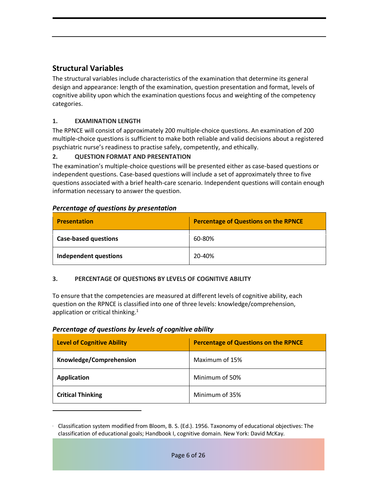# **Structural Variables**

The structural variables include characteristics of the examination that determine its general design and appearance: length of the examination, question presentation and format, levels of cognitive ability upon which the examination questions focus and weighting of the competency categories.

#### **1. EXAMINATION LENGTH**

The RPNCE will consist of approximately 200 multiple-choice questions. An examination of 200 multiple-choice questions is sufficient to make both reliable and valid decisions about a registered psychiatric nurse's readiness to practise safely, competently, and ethically.

#### **2. QUESTION FORMAT AND PRESENTATION**

The examination's multiple-choice questions will be presented either as case-based questions or independent questions. Case-based questions will include a set of approximately three to five questions associated with a brief health-care scenario. Independent questions will contain enough information necessary to answer the question.

| <b>Presentation</b>          | Percentage of Questions on the RPNCE |  |  |
|------------------------------|--------------------------------------|--|--|
| <b>Case-based questions</b>  | 60-80%                               |  |  |
| <b>Independent questions</b> | 20-40%                               |  |  |

#### *Percentage of questions by presentation*

#### **3. PERCENTAGE OF QUESTIONS BY LEVELS OF COGNITIVE ABILITY**

To ensure that the competencies are measured at different levels of cognitive ability, each question on the RPNCE is classified into one of three levels: knowledge/comprehension, application or critical thinking.<sup>1</sup>

#### *Percentage of questions by levels of cognitive ability*

 $\overline{a}$ 

| <b>Level of Cognitive Ability</b> | <b>Percentage of Questions on the RPNCE</b> |
|-----------------------------------|---------------------------------------------|
| Knowledge/Comprehension           | Maximum of 15%                              |
| <b>Application</b>                | Minimum of 50%                              |
| <b>Critical Thinking</b>          | Minimum of 35%                              |

**<sup>1</sup>** Classification system modified from Bloom, B. S. (Ed.). 1956. Taxonomy of educational objectives: The classification of educational goals; Handbook I, cognitive domain. New York: David McKay.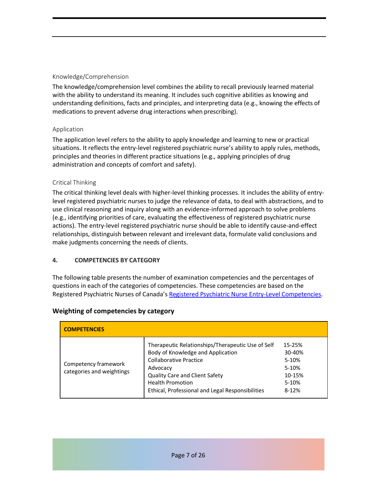#### Knowledge/Comprehension

The knowledge/comprehension level combines the ability to recall previously learned material with the ability to understand its meaning. It includes such cognitive abilities as knowing and understanding definitions, facts and principles, and interpreting data (e.g., knowing the effects of medications to prevent adverse drug interactions when prescribing).

#### Application

The application level refers to the ability to apply knowledge and learning to new or practical situations. It reflects the entry-level registered psychiatric nurse's ability to apply rules, methods, principles and theories in different practice situations (e.g., applying principles of drug administration and concepts of comfort and safety).

#### Critical Thinking

The critical thinking level deals with higher-level thinking processes. It includes the ability of entrylevel registered psychiatric nurses to judge the relevance of data, to deal with abstractions, and to use clinical reasoning and inquiry along with an evidence-informed approach to solve problems (e.g., identifying priorities of care, evaluating the effectiveness of registered psychiatric nurse actions). The entry-level registered psychiatric nurse should be able to identify cause-and-effect relationships, distinguish between relevant and irrelevant data, formulate valid conclusions and make judgments concerning the needs of clients.

#### **4. COMPETENCIES BY CATEGORY**

The following table presents the number of examination competencies and the percentages of questions in each of the categories of competencies. These competencies are based on the Registered Psychiatric Nurses of Canada's Registered Psychiatric Nurse Entry-Level Competencies.

| <b>COMPETENCIES</b>                               |                                                                                                                                                                                                                                                      |                                                                  |
|---------------------------------------------------|------------------------------------------------------------------------------------------------------------------------------------------------------------------------------------------------------------------------------------------------------|------------------------------------------------------------------|
| Competency framework<br>categories and weightings | Therapeutic Relationships/Therapeutic Use of Self<br>Body of Knowledge and Application<br>Collaborative Practice<br>Advocacy<br><b>Quality Care and Client Safety</b><br><b>Health Promotion</b><br>Ethical, Professional and Legal Responsibilities | 15-25%<br>30-40%<br>5-10%<br>5-10%<br>10-15%<br>5-10%<br>$8-12%$ |

#### **Weighting of competencies by category**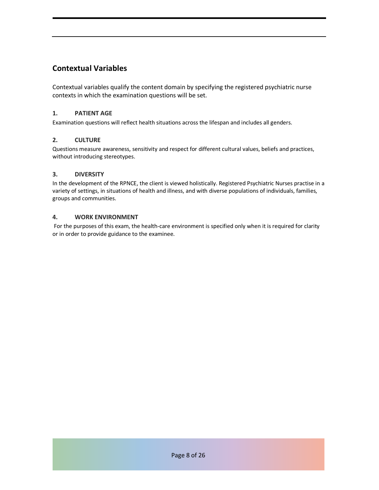# **Contextual Variables**

Contextual variables qualify the content domain by specifying the registered psychiatric nurse contexts in which the examination questions will be set.

#### **1. PATIENT AGE**

Examination questions will reflect health situations across the lifespan and includes all genders.

#### **2. CULTURE**

Questions measure awareness, sensitivity and respect for different cultural values, beliefs and practices, without introducing stereotypes.

#### **3. DIVERSITY**

In the development of the RPNCE, the client is viewed holistically. Registered Psychiatric Nurses practise in a variety of settings, in situations of health and illness, and with diverse populations of individuals, families, groups and communities.

#### **4. WORK ENVIRONMENT**

For the purposes of this exam, the health-care environment is specified only when it is required for clarity or in order to provide guidance to the examinee.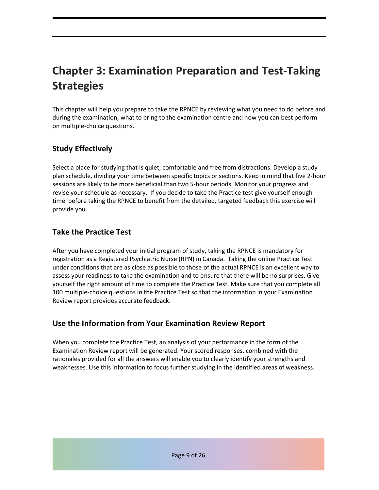# **Chapter 3: Examination Preparation and Test-Taking Strategies**

This chapter will help you prepare to take the RPNCE by reviewing what you need to do before and during the examination, what to bring to the examination centre and how you can best perform on multiple-choice questions.

# **Study Effectively**

Select a place for studying that is quiet, comfortable and free from distractions. Develop a study plan schedule, dividing your time between specific topics or sections. Keep in mind that five 2-hour sessions are likely to be more beneficial than two 5-hour periods. Monitor your progress and revise your schedule as necessary. If you decide to take the Practice test give yourself enough time before taking the RPNCE to benefit from the detailed, targeted feedback this exercise will provide you.

## **Take the Practice Test**

After you have completed your initial program of study, taking the RPNCE is mandatory for registration as a Registered Psychiatric Nurse (RPN) in Canada. Taking the online Practice Test under conditions that are as close as possible to those of the actual RPNCE is an excellent way to assess your readiness to take the examination and to ensure that there will be no surprises. Give yourself the right amount of time to complete the Practice Test. Make sure that you complete all 100 multiple-choice questions in the Practice Test so that the information in your Examination Review report provides accurate feedback.

## **Use the Information from Your Examination Review Report**

When you complete the Practice Test, an analysis of your performance in the form of the Examination Review report will be generated. Your scored responses, combined with the rationales provided for all the answers will enable you to clearly identify your strengths and weaknesses. Use this information to focus further studying in the identified areas of weakness.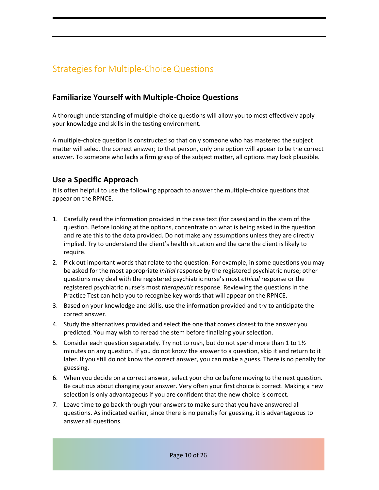# Strategies for Multiple-Choice Questions

## **Familiarize Yourself with Multiple-Choice Questions**

A thorough understanding of multiple-choice questions will allow you to most effectively apply your knowledge and skills in the testing environment.

A multiple-choice question is constructed so that only someone who has mastered the subject matter will select the correct answer; to that person, only one option will appear to be the correct answer. To someone who lacks a firm grasp of the subject matter, all options may look plausible.

## **Use a Specific Approach**

It is often helpful to use the following approach to answer the multiple-choice questions that appear on the RPNCE.

- 1. Carefully read the information provided in the case text (for cases) and in the stem of the question. Before looking at the options, concentrate on what is being asked in the question and relate this to the data provided. Do not make any assumptions unless they are directly implied. Try to understand the client's health situation and the care the client is likely to require.
- 2. Pick out important words that relate to the question. For example, in some questions you may be asked for the most appropriate *initial* response by the registered psychiatric nurse; other questions may deal with the registered psychiatric nurse's most *ethical* response or the registered psychiatric nurse's most *therapeutic* response. Reviewing the questions in the Practice Test can help you to recognize key words that will appear on the RPNCE.
- 3. Based on your knowledge and skills, use the information provided and try to anticipate the correct answer.
- 4. Study the alternatives provided and select the one that comes closest to the answer you predicted. You may wish to reread the stem before finalizing your selection.
- 5. Consider each question separately. Try not to rush, but do not spend more than 1 to  $1\frac{1}{2}$ minutes on any question. If you do not know the answer to a question, skip it and return to it later. If you still do not know the correct answer, you can make a guess. There is no penalty for guessing.
- 6. When you decide on a correct answer, select your choice before moving to the next question. Be cautious about changing your answer. Very often your first choice is correct. Making a new selection is only advantageous if you are confident that the new choice is correct.
- 7. Leave time to go back through your answers to make sure that you have answered all questions. As indicated earlier, since there is no penalty for guessing, it is advantageous to answer all questions.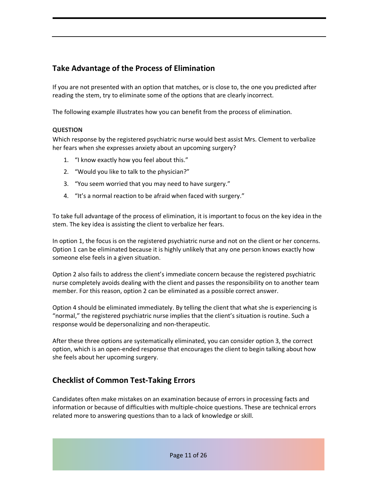# **Take Advantage of the Process of Elimination**

If you are not presented with an option that matches, or is close to, the one you predicted after reading the stem, try to eliminate some of the options that are clearly incorrect.

The following example illustrates how you can benefit from the process of elimination.

#### **QUESTION**

Which response by the registered psychiatric nurse would best assist Mrs. Clement to verbalize her fears when she expresses anxiety about an upcoming surgery?

- 1. "I know exactly how you feel about this."
- 2. "Would you like to talk to the physician?"
- 3. "You seem worried that you may need to have surgery."
- 4. "It's a normal reaction to be afraid when faced with surgery."

To take full advantage of the process of elimination, it is important to focus on the key idea in the stem. The key idea is assisting the client to verbalize her fears.

In option 1, the focus is on the registered psychiatric nurse and not on the client or her concerns. Option 1 can be eliminated because it is highly unlikely that any one person knows exactly how someone else feels in a given situation.

Option 2 also fails to address the client's immediate concern because the registered psychiatric nurse completely avoids dealing with the client and passes the responsibility on to another team member. For this reason, option 2 can be eliminated as a possible correct answer.

Option 4 should be eliminated immediately. By telling the client that what she is experiencing is "normal," the registered psychiatric nurse implies that the client's situation is routine. Such a response would be depersonalizing and non-therapeutic.

After these three options are systematically eliminated, you can consider option 3, the correct option, which is an open-ended response that encourages the client to begin talking about how she feels about her upcoming surgery.

# **Checklist of Common Test-Taking Errors**

Candidates often make mistakes on an examination because of errors in processing facts and information or because of difficulties with multiple-choice questions. These are technical errors related more to answering questions than to a lack of knowledge or skill.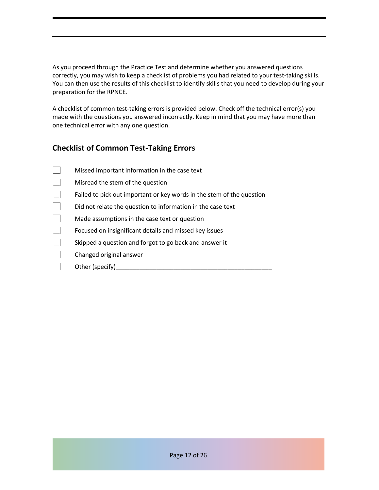As you proceed through the Practice Test and determine whether you answered questions correctly, you may wish to keep a checklist of problems you had related to your test-taking skills. You can then use the results of this checklist to identify skills that you need to develop during your preparation for the RPNCE.

A checklist of common test-taking errors is provided below. Check off the technical error(s) you made with the questions you answered incorrectly. Keep in mind that you may have more than one technical error with any one question.

# **Checklist of Common Test-Taking Errors**

| Missed important information in the case text                         |
|-----------------------------------------------------------------------|
| Misread the stem of the question                                      |
| Failed to pick out important or key words in the stem of the question |
| Did not relate the question to information in the case text           |
| Made assumptions in the case text or question                         |
| Focused on insignificant details and missed key issues                |
| Skipped a question and forgot to go back and answer it                |
| Changed original answer                                               |
| Other (specify)                                                       |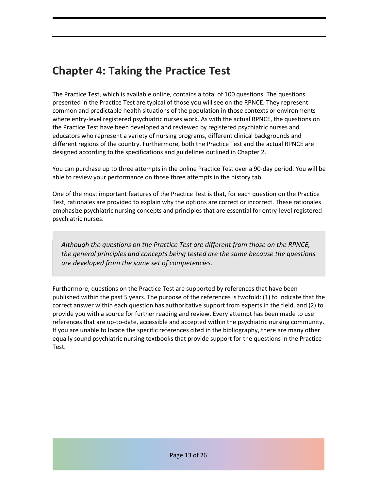# **Chapter 4: Taking the Practice Test**

The Practice Test, which is available online, contains a total of 100 questions. The questions presented in the Practice Test are typical of those you will see on the RPNCE. They represent common and predictable health situations of the population in those contexts or environments where entry-level registered psychiatric nurses work. As with the actual RPNCE, the questions on the Practice Test have been developed and reviewed by registered psychiatric nurses and educators who represent a variety of nursing programs, different clinical backgrounds and different regions of the country. Furthermore, both the Practice Test and the actual RPNCE are designed according to the specifications and guidelines outlined in Chapter 2.

You can purchase up to three attempts in the online Practice Test over a 90-day period. You will be able to review your performance on those three attempts in the history tab.

One of the most important features of the Practice Test is that, for each question on the Practice Test, rationales are provided to explain why the options are correct or incorrect. These rationales emphasize psychiatric nursing concepts and principles that are essential for entry-level registered psychiatric nurses.

*Although the questions on the Practice Test are different from those on the RPNCE, the general principles and concepts being tested are the same because the questions are developed from the same set of competencies.* 

Furthermore, questions on the Practice Test are supported by references that have been published within the past 5 years. The purpose of the references is twofold: (1) to indicate that the correct answer within each question has authoritative support from experts in the field, and (2) to provide you with a source for further reading and review. Every attempt has been made to use references that are up-to-date, accessible and accepted within the psychiatric nursing community. If you are unable to locate the specific references cited in the bibliography, there are many other equally sound psychiatric nursing textbooks that provide support for the questions in the Practice Test.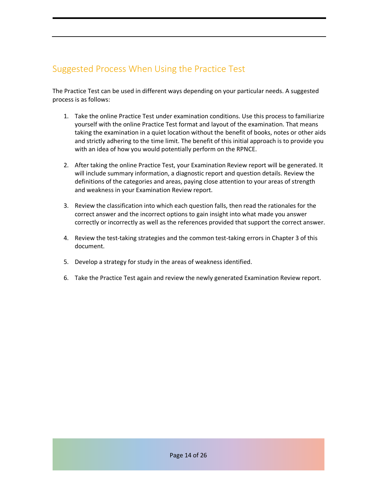# Suggested Process When Using the Practice Test

The Practice Test can be used in different ways depending on your particular needs. A suggested process is as follows:

- 1. Take the online Practice Test under examination conditions. Use this process to familiarize yourself with the online Practice Test format and layout of the examination. That means taking the examination in a quiet location without the benefit of books, notes or other aids and strictly adhering to the time limit. The benefit of this initial approach is to provide you with an idea of how you would potentially perform on the RPNCE.
- 2. After taking the online Practice Test, your Examination Review report will be generated. It will include summary information, a diagnostic report and question details. Review the definitions of the categories and areas, paying close attention to your areas of strength and weakness in your Examination Review report.
- 3. Review the classification into which each question falls, then read the rationales for the correct answer and the incorrect options to gain insight into what made you answer correctly or incorrectly as well as the references provided that support the correct answer.
- 4. Review the test-taking strategies and the common test-taking errors in Chapter 3 of this document.
- 5. Develop a strategy for study in the areas of weakness identified.
- 6. Take the Practice Test again and review the newly generated Examination Review report.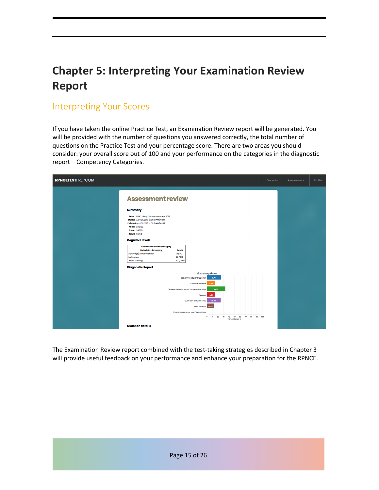# **Chapter 5: Interpreting Your Examination Review Report**

# Interpreting Your Scores

If you have taken the online Practice Test, an Examination Review report will be generated. You will be provided with the number of questions you answered correctly, the total number of questions on the Practice Test and your percentage score. There are two areas you should consider: your overall score out of 100 and your performance on the categories in the diagnostic report – Competency Categories.

| <b>RPNCETESTPREP.COM</b>                                                                                                                                                                                                                                                                                                                                                                                               | Products | Assessments | Profile |
|------------------------------------------------------------------------------------------------------------------------------------------------------------------------------------------------------------------------------------------------------------------------------------------------------------------------------------------------------------------------------------------------------------------------|----------|-------------|---------|
| <b>Assessment review</b>                                                                                                                                                                                                                                                                                                                                                                                               |          |             |         |
| <b>Summary</b><br>Exam RPNC - Prep Guide Assessment 2018<br>Started April 06, 2018 at 09:31 AM (MDT)<br>Finished April 06, 2018 at 09:31 AM (MDT)<br>Points 24/100<br>Score 24.00%<br><b>Result</b> Failed<br><b>Cognitive levels</b><br>Score break down by category<br>Metadata » Taxonomy<br>Points<br>Knowledge/Comprehension<br>1.0 / 6.0<br>9.0 / 51.0<br>Application<br>14.0 / 43.0<br><b>Critical Thinking</b> |          |             |         |
| <b>Diagnostic Report</b><br><b>Competency Report</b><br>Body of Knowledge and Application<br>25.7%<br>Collaborative Practice<br>14.3%<br>Therapeutic Relationships and Therapeutic Use of Self<br>33.3%<br>Advocacy<br>14.3%<br>Quality Care and Client Safety<br>25.0%<br>Heath Promotion 12.5%                                                                                                                       |          |             |         |
| Ethical, Professional and Legal Responsibilities<br>10 20 30<br>70<br>90 100<br>$\bullet$<br>40<br>50<br>60<br>80<br>Percent Correct %<br><b>Question details</b>                                                                                                                                                                                                                                                      |          |             |         |

The Examination Review report combined with the test-taking strategies described in Chapter 3 will provide useful feedback on your performance and enhance your preparation for the RPNCE.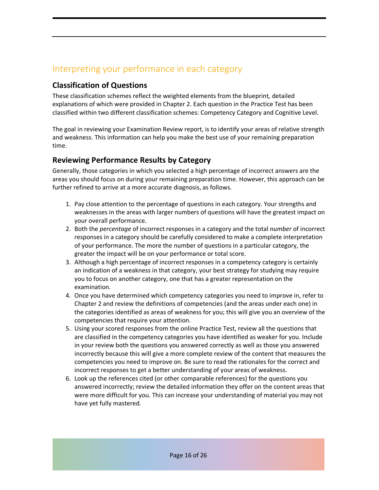# Interpreting your performance in each category

# **Classification of Questions**

These classification schemes reflect the weighted elements from the blueprint*,* detailed explanations of which were provided in Chapter 2. Each question in the Practice Test has been classified within two different classification schemes: Competency Category and Cognitive Level.

The goal in reviewing your Examination Review report, is to identify your areas of relative strength and weakness. This information can help you make the best use of your remaining preparation time.

# **Reviewing Performance Results by Category**

Generally, those categories in which you selected a high percentage of incorrect answers are the areas you should focus on during your remaining preparation time. However, this approach can be further refined to arrive at a more accurate diagnosis, as follows.

- 1. Pay close attention to the percentage of questions in each category. Your strengths and weaknesses in the areas with larger numbers of questions will have the greatest impact on your overall performance.
- 2. Both the *percentage* of incorrect responses in a category and the total *number* of incorrect responses in a category should be carefully considered to make a complete interpretation of your performance. The more the number of questions in a particular category, the greater the impact will be on your performance or total score.
- 3. Although a high percentage of incorrect responses in a competency category is certainly an indication of a weakness in that category, your best strategy for studying may require you to focus on another category, one that has a greater representation on the examination.
- 4. Once you have determined which competency categories you need to improve in, refer to Chapter 2 and review the definitions of competencies (and the areas under each one) in the categories identified as areas of weakness for you; this will give you an overview of the competencies that require your attention.
- 5. Using your scored responses from the online Practice Test, review all the questions that are classified in the competency categories you have identified as weaker for you. Include in your review both the questions you answered correctly as well as those you answered incorrectly because this will give a more complete review of the content that measures the competencies you need to improve on. Be sure to read the rationales for the correct and incorrect responses to get a better understanding of your areas of weakness.
- 6. Look up the references cited (or other comparable references) for the questions you answered incorrectly; review the detailed information they offer on the content areas that were more difficult for you. This can increase your understanding of material you may not have yet fully mastered.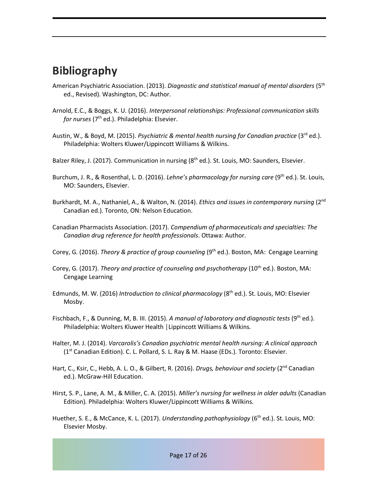# **Bibliography**

- American Psychiatric Association. (2013). *Diagnostic and statistical manual of mental disorders* (5th ed., Revised). Washington, DC: Author.
- Arnold, E.C., & Boggs, K. U. (2016). *Interpersonal relationships: Professional communication skills for nurses* (7<sup>th</sup> ed.). Philadelphia: Elsevier.
- Austin, W., & Boyd, M. (2015). *Psychiatric & mental health nursing for Canadian practice* (3rd ed.). Philadelphia: Wolters Kluwer/Lippincott Williams & Wilkins.
- Balzer Riley, J. (2017). Communication in nursing (8<sup>th</sup> ed.). St. Louis, MO: Saunders, Elsevier.
- Burchum, J. R., & Rosenthal, L. D. (2016). *Lehne's pharmacology for nursing care* (9th ed.). St. Louis, MO: Saunders, Elsevier.
- Burkhardt, M. A., Nathaniel, A., & Walton, N. (2014). *Ethics and issues in contemporary nursing* (2<sup>nd</sup>) Canadian ed.). Toronto, ON: Nelson Education.
- Canadian Pharmacists Association. (2017). *Compendium of pharmaceuticals and specialties: The Canadian drug reference for health professionals*. Ottawa: Author.
- Corey, G. (2016). *Theory & practice of group counseling* (9<sup>th</sup> ed.). Boston, MA: Cengage Learning
- Corey, G. (2017). *Theory and practice of counseling and psychotherapy* (10<sup>th</sup> ed.). Boston, MA: Cengage Learning
- Edmunds, M. W. (2016) *Introduction to clinical pharmacology* (8<sup>th</sup> ed.). St. Louis, MO: Elsevier Mosby.
- Fischbach, F., & Dunning, M, B. III. (2015). A manual of laboratory and diagnostic tests (9<sup>th</sup> ed.). Philadelphia: Wolters Kluwer Health │Lippincott Williams & Wilkins.
- Halter, M. J. (2014). *Varcarolis's Canadian psychiatric mental health nursing: A clinical approach*  (1st Canadian Edition)*.* C. L. Pollard, S. L. Ray & M. Haase (EDs.). Toronto: Elsevier.
- Hart, C., Ksir, C., Hebb, A. L. O., & Gilbert, R. (2016). *Drugs, behaviour and society* (2<sup>nd</sup> Canadian ed.). McGraw-Hill Education.
- Hirst, S. P., Lane, A. M., & Miller, C. A. (2015). *Miller's nursing for wellness in older adults* (Canadian Edition)*.* Philadelphia: Wolters Kluwer/Lippincott Williams & Wilkins.
- Huether, S. E., & McCance, K. L. (2017). *Understanding pathophysiology* (6<sup>th</sup> ed.). St. Louis, MO: Elsevier Mosby.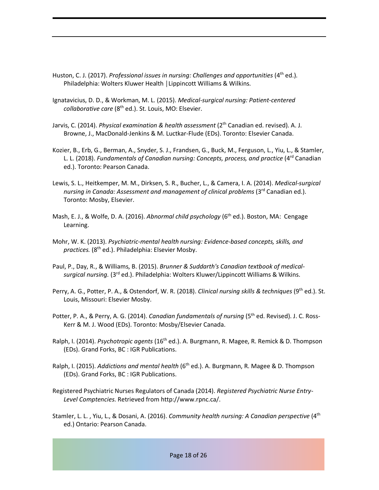- Huston, C. J. (2017). *Professional issues in nursing: Challenges and opportunities* (4<sup>th</sup> ed.). Philadelphia: Wolters Kluwer Health │Lippincott Williams & Wilkins.
- Ignatavicius, D. D., & Workman, M. L. (2015). *Medical-surgical nursing: Patient-centered collaborative care* (8th ed.). St. Louis, MO: Elsevier.
- Jarvis, C. (2014). *Physical examination & health assessment* (2<sup>th</sup> Canadian ed. revised). A. J. Browne, J., MacDonald-Jenkins & M. Luctkar-Flude (EDs). Toronto: Elsevier Canada.
- Kozier, B., Erb, G., Berman, A., Snyder, S. J., Frandsen, G., Buck, M., Ferguson, L., Yiu, L., & Stamler, L. L. (2018). *Fundamentals of Canadian nursing: Concepts, process, and practice* (4rd Canadian ed.). Toronto: Pearson Canada.
- Lewis, S. L., Heitkemper, M. M., Dirksen, S. R., Bucher, L., & Camera, I. A. (2014). *Medical-surgical nursing in Canada: Assessment and management of clinical problems* (3<sup>rd</sup> Canadian ed.). Toronto: Mosby, Elsevier.
- Mash, E. J., & Wolfe, D. A. (2016). *Abnormal child psychology* (6<sup>th</sup> ed.). Boston, MA: Cengage Learning.
- Mohr, W. K. (2013). *Psychiatric-mental health nursing: Evidence-based concepts, skills, and practices.* (8th ed.). Philadelphia: Elsevier Mosby.
- Paul, P., Day, R., & Williams, B. (2015). *Brunner & Suddarth's Canadian textbook of medicalsurgical nursing.* (3rd ed.). Philadelphia: Wolters Kluwer/Lippincott Williams & Wilkins.
- Perry, A. G., Potter, P. A., & Ostendorf, W. R. (2018). *Clinical nursing skills & techniques* (9th ed.). St. Louis, Missouri: Elsevier Mosby.
- Potter, P. A., & Perry, A. G. (2014). *Canadian fundamentals of nursing* (5<sup>th</sup> ed. Revised). J. C. Ross-Kerr & M. J. Wood (EDs). Toronto: Mosby/Elsevier Canada.
- Ralph, I. (2014). *Psychotropic agents* (16th ed.). A. Burgmann, R. Magee, R. Remick & D. Thompson (EDs). Grand Forks, BC : IGR Publications.
- Ralph, I. (2015). *Addictions and mental health* (6<sup>th</sup> ed.). A. Burgmann, R. Magee & D. Thompson (EDs). Grand Forks, BC : IGR Publications.
- Registered Psychiatric Nurses Regulators of Canada (2014). *Registered Psychiatric Nurse Entry-Level Comptencies*. Retrieved from http://www.rpnc.ca/.
- Stamler, L. L. , Yiu, L., & Dosani, A. (2016). *Community health nursing: A Canadian perspective* (4th ed.) Ontario: Pearson Canada.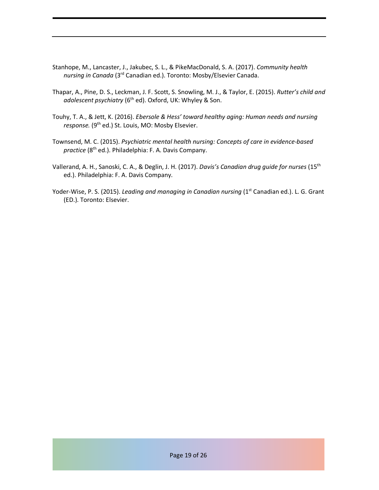- Stanhope, M., Lancaster, J., Jakubec, S. L., & PikeMacDonald, S. A. (2017). *Community health nursing in Canada* (3rd Canadian ed.). Toronto: Mosby/Elsevier Canada.
- Thapar, A., Pine, D. S., Leckman, J. F. Scott, S. Snowling, M. J., & Taylor, E. (2015). *Rutter's child and*  adolescent psychiatry (6<sup>th</sup> ed). Oxford, UK: Whyley & Son.
- Touhy, T. A., & Jett, K. (2016). *Ebersole & Hess' toward healthy aging: Human needs and nursing*  response. (9<sup>th</sup> ed.) St. Louis, MO: Mosby Elsevier.
- Townsend, M. C. (2015). *Psychiatric mental health nursing: Concepts of care in evidence-based*  practice (8<sup>th</sup> ed.). Philadelphia: F. A. Davis Company.
- Vallerand, A. H., Sanoski, C. A., & Deglin, J. H. (2017). *Davis's Canadian drug guide for nurses* (15th ed.). Philadelphia: F. A. Davis Company.
- Yoder-Wise, P. S. (2015). *Leading and managing in Canadian nursing* (1<sup>st</sup> Canadian ed.). L. G. Grant (ED.). Toronto: Elsevier.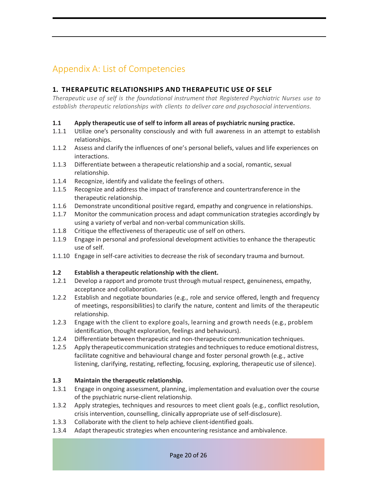# Appendix A: List of Competencies

#### **1. THERAPEUTIC RELATIONSHIPS AND THERAPEUTIC USE OF SELF**

*Therapeutic use of self is the foundational instrument that Registered Psychiatric Nurses use to establish therapeutic relationships with clients to deliver care and psychosocial interventions.*

#### **1.1 Apply therapeutic use of self to inform all areas of psychiatric nursing practice.**

- 1.1.1 Utilize one's personality consciously and with full awareness in an attempt to establish relationships.
- 1.1.2 Assess and clarify the influences of one's personal beliefs, values and life experiences on interactions.
- 1.1.3 Differentiate between a therapeutic relationship and a social, romantic, sexual relationship.
- 1.1.4 Recognize, identify and validate the feelings of others.
- 1.1.5 Recognize and address the impact of transference and countertransference in the therapeutic relationship.
- 1.1.6 Demonstrate unconditional positive regard, empathy and congruence in relationships.
- 1.1.7 Monitor the communication process and adapt communication strategies accordingly by using a variety of verbal and non-verbal communication skills.
- 1.1.8 Critique the effectiveness of therapeutic use of self on others.
- 1.1.9 Engage in personal and professional development activities to enhance the therapeutic use of self.
- 1.1.10 Engage in self-care activities to decrease the risk of secondary trauma and burnout.

#### **1.2 Establish a therapeutic relationship with the client.**

- 1.2.1 Develop a rapport and promote trust through mutual respect, genuineness, empathy, acceptance and collaboration.
- 1.2.2 Establish and negotiate boundaries (e.g., role and service offered, length and frequency of meetings, responsibilities) to clarify the nature, content and limits of the therapeutic relationship.
- 1.2.3 Engage with the client to explore goals, learning and growth needs (e.g., problem identification, thought exploration, feelings and behaviours).
- 1.2.4 Differentiate between therapeutic and non-therapeutic communication techniques.
- 1.2.5 Apply therapeutic communication strategies and techniques to reduce emotional distress, facilitate cognitive and behavioural change and foster personal growth (e.g., active listening, clarifying, restating, reflecting, focusing, exploring, therapeutic use of silence).

#### **1.3 Maintain the therapeutic relationship.**

- 1.3.1 Engage in ongoing assessment, planning, implementation and evaluation over the course of the psychiatric nurse-client relationship.
- 1.3.2 Apply strategies, techniques and resources to meet client goals (e.g., conflict resolution, crisis intervention, counselling, clinically appropriate use of self-disclosure).
- 1.3.3 Collaborate with the client to help achieve client-identified goals.
- 1.3.4 Adapt therapeutic strategies when encountering resistance and ambivalence.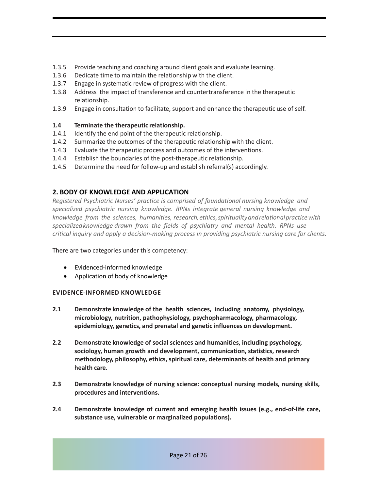- 1.3.5 Provide teaching and coaching around client goals and evaluate learning.
- 1.3.6 Dedicate time to maintain the relationship with the client.
- 1.3.7 Engage in systematic review of progress with the client.
- 1.3.8 Address the impact of transference and countertransference in the therapeutic relationship.
- 1.3.9 Engage in consultation to facilitate, support and enhance the therapeutic use of self.

## **1.4 Terminate the therapeutic relationship.**

- 1.4.1 Identify the end point of the therapeutic relationship.
- 1.4.2 Summarize the outcomes of the therapeutic relationship with the client.
- 1.4.3 Evaluate the therapeutic process and outcomes of the interventions.
- 1.4.4 Establish the boundaries of the post-therapeutic relationship.
- 1.4.5 Determine the need for follow-up and establish referral(s) accordingly.

## **2. BODY OF KNOWLEDGE AND APPLICATION**

*Registered Psychiatric Nurses' practice is comprised of foundational nursing knowledge and specialized psychiatric nursing knowledge. RPNs integrate general nursing knowledge and knowledge from the sciences, humanities, research,ethics,spiritualityandrelationalpracticewith specializedknowledge drawn from the fields of psychiatry and mental health. RPNs use critical inquiry and apply a decision-making process in providing psychiatric nursing care for clients.*

There are two categories under this competency:

- Evidenced-informed knowledge
- Application of body of knowledge

## **EVIDENCE-INFORMED KNOWLEDGE**

- **2.1 Demonstrate knowledge of the health sciences, including anatomy, physiology, microbiology, nutrition, pathophysiology, psychopharmacology, pharmacology, epidemiology, genetics, and prenatal and genetic influences on development.**
- **2.2 Demonstrate knowledge of social sciences and humanities, including psychology, sociology, human growth and development, communication, statistics, research methodology, philosophy, ethics, spiritual care, determinants of health and primary health care.**
- **2.3 Demonstrate knowledge of nursing science: conceptual nursing models, nursing skills, procedures and interventions.**
- **2.4 Demonstrate knowledge of current and emerging health issues (e.g., end-of-life care, substance use, vulnerable or marginalized populations).**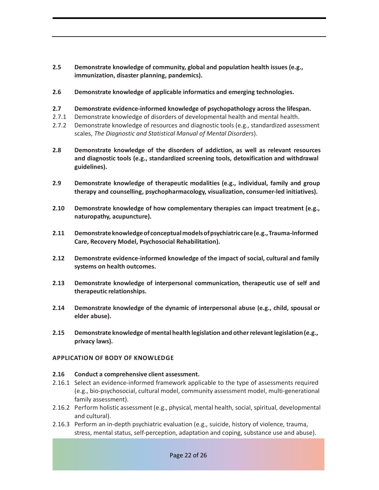- **2.5 Demonstrate knowledge of community, global and population health issues (e.g., immunization, disaster planning, pandemics).**
- **2.6 Demonstrate knowledge of applicable informatics and emerging technologies.**
- **2.7 Demonstrate evidence-informed knowledge of psychopathology across the lifespan.**
- 2.7.1 Demonstrate knowledge of disorders of developmental health and mental health.
- 2.7.2 Demonstrate knowledge of resources and diagnostic tools (e.g., standardized assessment scales, *The Diagnostic and Statistical Manual of Mental Disorders*).
- **2.8 Demonstrate knowledge of the disorders of addiction, as well as relevant resources and diagnostic tools (e.g., standardized screening tools, detoxification and withdrawal guidelines).**
- **2.9 Demonstrate knowledge of therapeutic modalities (e.g., individual, family and group therapy and counselling, psychopharmacology, visualization, consumer-led initiatives).**
- **2.10 Demonstrate knowledge of how complementary therapies can impact treatment (e.g., naturopathy, acupuncture).**
- **2.11 Demonstrateknowledgeof conceptualmodelsofpsychiatriccare(e.g.,Trauma-Informed Care, Recovery Model, Psychosocial Rehabilitation).**
- **2.12 Demonstrate evidence-informed knowledge of the impact of social, cultural and family systems on health outcomes.**
- **2.13 Demonstrate knowledge of interpersonal communication, therapeutic use of self and therapeutic relationships.**
- **2.14 Demonstrate knowledge of the dynamic of interpersonal abuse (e.g., child, spousal or elder abuse).**
- **2.15 Demonstrate knowledge of mental health legislation and otherrelevantlegislation (e.g., privacy laws).**

#### **APPLICATION OF BODY OF KNOWLEDGE**

#### **2.16 Conduct a comprehensive client assessment.**

- 2.16.1 Select an evidence-informed framework applicable to the type of assessments required (e.g., bio-psychosocial, cultural model, community assessment model, multi-generational family assessment).
- 2.16.2 Perform holistic assessment (e.g., physical, mental health, social, spiritual, developmental and cultural).
- 2.16.3 Perform an in-depth psychiatric evaluation (e.g., suicide, history of violence, trauma, stress, mental status, self-perception, adaptation and coping, substance use and abuse).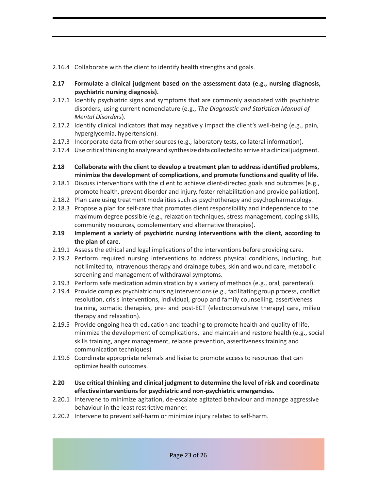2.16.4 Collaborate with the client to identify health strengths and goals.

- **2.17 Formulate a clinical judgment based on the assessment data (e.g., nursing diagnosis, psychiatric nursing diagnosis).**
- 2.17.1 Identify psychiatric signs and symptoms that are commonly associated with psychiatric disorders, using current nomenclature (e.g., *The Diagnostic and Statistical Manual of Mental Disorders*).
- 2.17.2 Identify clinical indicators that may negatively impact the client's well-being (e.g., pain, hyperglycemia, hypertension).
- 2.17.3 Incorporate data from other sources (e.g., laboratory tests, collateral information).
- 2.17.4 Use critical thinking to analyze and synthesize data collected to arrive at a clinical judgment.
- **2.18 Collaborate with the client to develop a treatment plan to address identified problems, minimize the development of complications, and promote functions and quality of life.**
- 2.18.1 Discuss interventions with the client to achieve client-directed goals and outcomes (e.g., promote health, prevent disorder and injury, foster rehabilitation and provide palliation).
- 2.18.2 Plan care using treatment modalities such as psychotherapy and psychopharmacology.
- 2.18.3 Propose a plan for self-care that promotes client responsibility and independence to the maximum degree possible (e.g., relaxation techniques, stress management, coping skills, community resources, complementary and alternative therapies).
- **2.19 Implement a variety of psychiatric nursing interventions with the client, according to the plan of care.**
- 2.19.1 Assess the ethical and legal implications of the interventions before providing care.
- 2.19.2 Perform required nursing interventions to address physical conditions, including, but not limited to, intravenous therapy and drainage tubes, skin and wound care, metabolic screening and management of withdrawal symptoms.
- 2.19.3 Perform safe medication administration by a variety of methods (e.g., oral, parenteral).
- 2.19.4 Provide complex psychiatric nursing interventions (e.g., facilitating group process, conflict resolution, crisis interventions, individual, group and family counselling, assertiveness training, somatic therapies, pre- and post-ECT (electroconvulsive therapy) care, milieu therapy and relaxation).
- 2.19.5 Provide ongoing health education and teaching to promote health and quality of life, minimize the development of complications, and maintain and restore health (e.g., social skills training, anger management, relapse prevention, assertiveness training and communication techniques)
- 2.19.6 Coordinate appropriate referrals and liaise to promote access to resources that can optimize health outcomes.
- **2.20 Use critical thinking and clinical judgment to determine the level of risk and coordinate effective interventionsfor psychiatric and non-psychiatric emergencies.**
- 2.20.1 Intervene to minimize agitation, de-escalate agitated behaviour and manage aggressive behaviour in the least restrictive manner.
- 2.20.2 Intervene to prevent self-harm or minimize injury related to self-harm.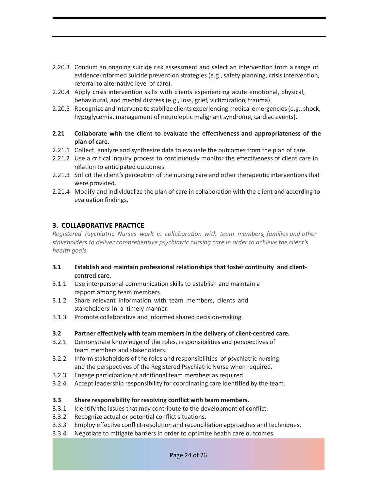- 2.20.3 Conduct an ongoing suicide risk assessment and select an intervention from a range of evidence-informed suicide prevention strategies (e.g., safety planning, crisis intervention, referral to alternative level of care).
- 2.20.4 Apply crisis intervention skills with clients experiencing acute emotional, physical, behavioural, and mental distress (e.g., loss, grief, victimization, trauma).
- 2.20.5 Recognize and intervene to stabilize clients experiencing medical emergencies (e.g., shock, hypoglycemia, management of neuroleptic malignant syndrome, cardiac events).
- **2.21 Collaborate with the client to evaluate the effectiveness and appropriateness of the plan of care.**
- 2.21.1 Collect, analyze and synthesize data to evaluate the outcomes from the plan of care.
- 2.21.2 Use a critical inquiry process to continuously monitor the effectiveness of client care in relation to anticipated outcomes.
- 2.21.3 Solicit the client's perception of the nursing care and other therapeutic interventionsthat were provided.
- 2.21.4 Modify and individualize the plan of care in collaboration with the client and according to evaluation findings.

#### **3. COLLABORATIVE PRACTICE**

*Registered Psychiatric Nurses work in collaboration with team members, families and other stakeholders to deliver comprehensive psychiatric nursing care in order to achieve the client's health goals.*

- **3.1 Establish and maintain professional relationships that foster continuity and clientcentred care.**
- 3.1.1 Use interpersonal communication skills to establish and maintain a rapport among team members.
- 3.1.2 Share relevant information with team members, clients and stakeholders in a timely manner.
- 3.1.3 Promote collaborative and informed shared decision-making.

#### **3.2 Partner effectively with team members in the delivery of client-centred care.**

- 3.2.1 Demonstrate knowledge of the roles, responsibilities and perspectives of team members and stakeholders.
- 3.2.2 Inform stakeholders of the roles and responsibilities of psychiatric nursing and the perspectives of the Registered Psychiatric Nurse when required.
- 3.2.3 Engage participation of additional team members as required.
- 3.2.4 Accept leadership responsibility for coordinating care identified by the team.

#### **3.3 Share responsibility for resolving conflict with team members.**

- 3.3.1 Identify the issues that may contribute to the development of conflict.
- 3.3.2 Recognize actual or potential conflict situations.
- 3.3.3 Employ effective conflict-resolution and reconciliation approaches and techniques.
- 3.3.4 Negotiate to mitigate barriers in order to optimize health care outcomes.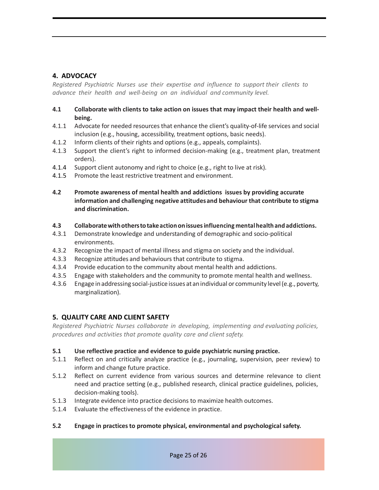#### **4. ADVOCACY**

*Registered Psychiatric Nurses use their expertise and influence to support their clients to advance their health and well-being on an individual and community level.*

#### **4.1 Collaborate with clients to take action on issues that may impact their health and wellbeing.**

- 4.1.1 Advocate for needed resources that enhance the client's quality-of-life services and social inclusion (e.g., housing, accessibility, treatment options, basic needs).
- 4.1.2 Inform clients of their rights and options(e.g., appeals, complaints).
- 4.1.3 Support the client's right to informed decision-making (e.g., treatment plan, treatment orders).
- 4.1.4 Support client autonomy and right to choice (e.g., right to live at risk).
- 4.1.5 Promote the least restrictive treatment and environment.
- **4.2 Promote awareness of mental health and addictions issues by providing accurate information and challenging negative attitudesand behaviour that contribute to stigma and discrimination.**

#### **4.3 Collaboratewithotherstotakeactiononissuesinfluencing mentalhealth and addictions.**

- 4.3.1 Demonstrate knowledge and understanding of demographic and socio-political environments.
- 4.3.2 Recognize the impact of mental illness and stigma on society and the individual.
- 4.3.3 Recognize attitudes and behaviours that contribute to stigma.
- 4.3.4 Provide education to the community about mental health and addictions.
- 4.3.5 Engage with stakeholders and the community to promote mental health and wellness.
- 4.3.6 Engage inaddressing social-justice issues at anindividual or community level(e.g., poverty, marginalization).

#### **5. QUALITY CARE AND CLIENT SAFETY**

*Registered Psychiatric Nurses collaborate in developing, implementing and evaluating policies, procedures and activities that promote quality care and client safety.*

#### **5.1 Use reflective practice and evidence to guide psychiatric nursing practice.**

- 5.1.1 Reflect on and critically analyze practice (e.g., journaling, supervision, peer review) to inform and change future practice.
- 5.1.2 Reflect on current evidence from various sources and determine relevance to client need and practice setting (e.g., published research, clinical practice guidelines, policies, decision-making tools).
- 5.1.3 Integrate evidence into practice decisions to maximize health outcomes.
- 5.1.4 Evaluate the effectiveness of the evidence in practice.

#### **5.2 Engage in practicesto promote physical, environmental and psychological safety.**